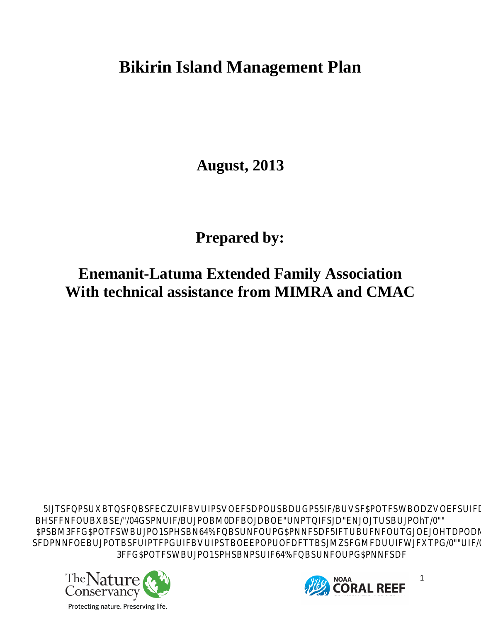## **Bikirin Island Management Plan**

**August, 2013** 

**Prepared by:** 

**Enemanit-Latuma Extended Family Association With technical assistance from MIMRA and CMAC** 

**5IQRIQSFECZFBIPDFBBUSFBUSVBOFSFDPQBIVF** BHFNBRE/LENFBLOM0DBBONLFDDLOL" ֖֖֚֚֚֚֡֬<br>֧֚֝ **\$BM3FF\$DWBPOBRO@RNSFFUENDLWF6O SFDPNFOEBUJPOTBSFUIPTFPGUIFBVUIPS T BOEEPOPUOFDFTBSJMZSFGMFDUIFWJFXTPG/0"
UIF/0"\$PSBM** 3FF**GONVBUORNSFG/BNORNS** 

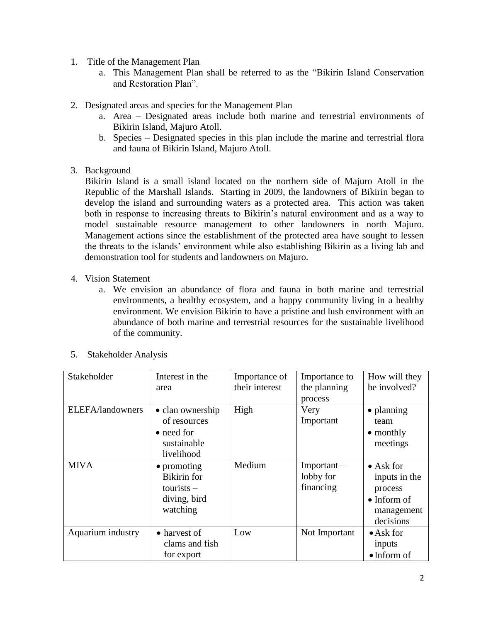- 1. Title of the Management Plan
	- a. This Management Plan shall be referred to as the "Bikirin Island Conservation and Restoration Plan".
- 2. Designated areas and species for the Management Plan
	- a. Area Designated areas include both marine and terrestrial environments of Bikirin Island, Majuro Atoll.
	- b. Species Designated species in this plan include the marine and terrestrial flora and fauna of Bikirin Island, Majuro Atoll.
- 3. Background

Bikirin Island is a small island located on the northern side of Majuro Atoll in the Republic of the Marshall Islands. Starting in 2009, the landowners of Bikirin began to develop the island and surrounding waters as a protected area. This action was taken both in response to increasing threats to Bikirin's natural environment and as a way to model sustainable resource management to other landowners in north Majuro. Management actions since the establishment of the protected area have sought to lessen the threats to the islands' environment while also establishing Bikirin as a living lab and demonstration tool for students and landowners on Majuro.

- 4. Vision Statement
	- a. We envision an abundance of flora and fauna in both marine and terrestrial environments, a healthy ecosystem, and a happy community living in a healthy environment. We envision Bikirin to have a pristine and lush environment with an abundance of both marine and terrestrial resources for the sustainable livelihood of the community.

| Stakeholder       | Interest in the<br>area                                                               | Importance of<br>their interest | Importance to<br>the planning<br>process | How will they<br>be involved?                                                                   |
|-------------------|---------------------------------------------------------------------------------------|---------------------------------|------------------------------------------|-------------------------------------------------------------------------------------------------|
| ELEFA/landowners  | • clan ownership<br>of resources<br>• need for<br>sustainable<br>livelihood           | High                            | Very<br>Important                        | • planning<br>team<br>$\bullet$ monthly<br>meetings                                             |
| <b>MIVA</b>       | $\bullet$ promoting<br><b>Bikirin</b> for<br>$tourists -$<br>diving, bird<br>watching | Medium                          | $Important -$<br>lobby for<br>financing  | $\bullet$ Ask for<br>inputs in the<br>process<br>$\bullet$ Inform of<br>management<br>decisions |
| Aquarium industry | • harvest of<br>clams and fish<br>for export                                          | Low                             | Not Important                            | $\bullet$ Ask for<br>inputs<br>$\bullet$ Inform of                                              |

5. Stakeholder Analysis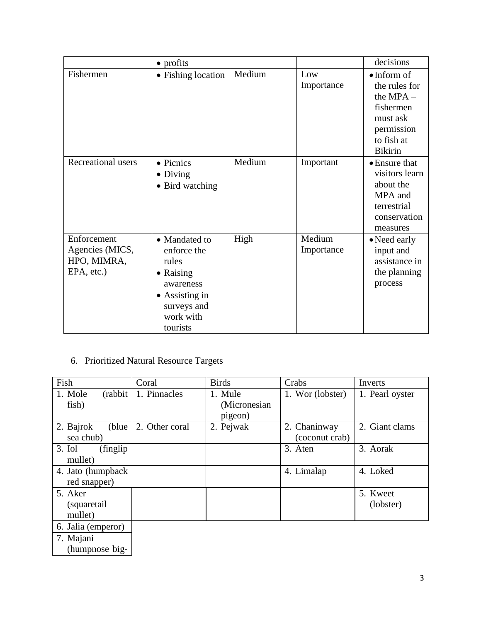|                                                             | $\bullet$ profits                                                                                                                         |        |                      | decisions                                                                                                                  |
|-------------------------------------------------------------|-------------------------------------------------------------------------------------------------------------------------------------------|--------|----------------------|----------------------------------------------------------------------------------------------------------------------------|
| Fishermen                                                   | • Fishing location                                                                                                                        | Medium | Low<br>Importance    | $\bullet$ Inform of<br>the rules for<br>the $MPA -$<br>fishermen<br>must ask<br>permission<br>to fish at<br><b>Bikirin</b> |
| Recreational users                                          | • Picnics<br>$\bullet$ Diving<br>• Bird watching                                                                                          | Medium | Important            | • Ensure that<br>visitors learn<br>about the<br>MPA and<br>terrestrial<br>conservation<br>measures                         |
| Enforcement<br>Agencies (MICS,<br>HPO, MIMRA,<br>EPA, etc.) | • Mandated to<br>enforce the<br>rules<br>$\bullet$ Raising<br>awareness<br>$\bullet$ Assisting in<br>surveys and<br>work with<br>tourists | High   | Medium<br>Importance | • Need early<br>input and<br>assistance in<br>the planning<br>process                                                      |

## 6. Prioritized Natural Resource Targets

| Fish                  | Coral          | <b>Birds</b>  | Crabs            | Inverts         |
|-----------------------|----------------|---------------|------------------|-----------------|
| 1. Mole<br>(rabbit)   | 1. Pinnacles   | 1. Mule       | 1. Wor (lobster) | 1. Pearl oyster |
| fish)                 |                | (Micronesian) |                  |                 |
|                       |                | pigeon)       |                  |                 |
| 2. Bajrok<br>(blue)   | 2. Other coral | 2. Pejwak     | 2. Chaninway     | 2. Giant clams  |
| sea chub)             |                |               | (coconut crab)   |                 |
| $3.$ Iol<br>(finglip) |                |               | 3. Aten          | 3. Aorak        |
| mullet)               |                |               |                  |                 |
| 4. Jato (humpback)    |                |               | 4. Limalap       | 4. Loked        |
| red snapper)          |                |               |                  |                 |
| 5. Aker               |                |               |                  | 5. Kweet        |
| (squaretail)          |                |               |                  | (lobster)       |
| mullet)               |                |               |                  |                 |
| 6. Jalia (emperor)    |                |               |                  |                 |
| 7. Majani             |                |               |                  |                 |
| (humpnose big-        |                |               |                  |                 |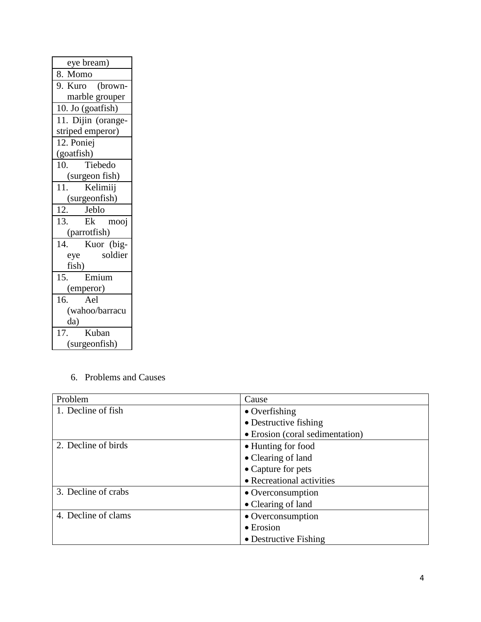| eye bream)                                  |  |
|---------------------------------------------|--|
| 8. Momo                                     |  |
| 9. Kuro (brown-                             |  |
| marble grouper                              |  |
| 10. Jo (goatfish)                           |  |
| 11. Dijin (orange-                          |  |
| striped emperor)                            |  |
| 12. Poniej                                  |  |
| (goatfish)                                  |  |
| Tiebedo<br>10.                              |  |
| (surgeon fish)                              |  |
| Kelimiij<br>11.                             |  |
| (surgeonfish)                               |  |
|                                             |  |
| $\overline{12}$ .<br>Jeblo                  |  |
| 13.<br>Ek<br>mooj                           |  |
| (parrotfish)                                |  |
| 14.<br>Kuor (big-                           |  |
| soldier<br>eye                              |  |
| fish)                                       |  |
| Emium<br>15.                                |  |
| (emperor)                                   |  |
| 16.<br>Ael                                  |  |
| (wahoo/barracu                              |  |
| da)                                         |  |
| $\overline{17}$ .<br>Kuban<br>(surgeonfish) |  |

6. Problems and Causes

| Problem             | Cause                           |  |  |
|---------------------|---------------------------------|--|--|
| 1. Decline of fish  | $\bullet$ Overfishing           |  |  |
|                     | • Destructive fishing           |  |  |
|                     | • Erosion (coral sedimentation) |  |  |
| 2. Decline of birds | • Hunting for food              |  |  |
|                     | • Clearing of land              |  |  |
|                     | • Capture for pets              |  |  |
|                     | • Recreational activities       |  |  |
| 3. Decline of crabs | • Overconsumption               |  |  |
|                     | • Clearing of land              |  |  |
| 4. Decline of clams | • Overconsumption               |  |  |
|                     | $\bullet$ Erosion               |  |  |
|                     | • Destructive Fishing           |  |  |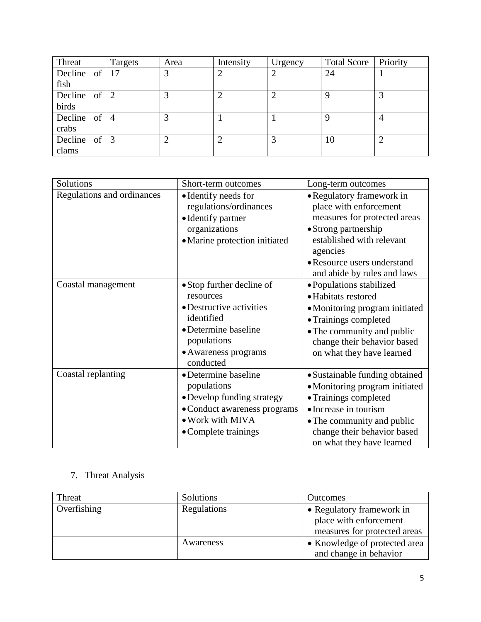| Threat           | Targets | Area | Intensity | Urgency | Total Score   Priority |   |
|------------------|---------|------|-----------|---------|------------------------|---|
| Decline of $ 17$ |         | 3    | 2         | റ       | 24                     |   |
| fish             |         |      |           |         |                        |   |
| Decline of $ 2$  |         | 2    | ◠         |         | Q                      | 3 |
| birds            |         |      |           |         |                        |   |
| Decline of $ 4$  |         | 2    |           |         | 9                      | 4 |
| crabs            |         |      |           |         |                        |   |
| Decline of $ 3$  |         | ◠    | ◠         |         | 10                     | ◠ |
| clams            |         |      |           |         |                        |   |

| Solutions                  | Short-term outcomes                                                                                                                                          | Long-term outcomes                                                                                                                                                                                                 |
|----------------------------|--------------------------------------------------------------------------------------------------------------------------------------------------------------|--------------------------------------------------------------------------------------------------------------------------------------------------------------------------------------------------------------------|
| Regulations and ordinances | • Identify needs for<br>regulations/ordinances<br>• Identify partner<br>organizations<br>• Marine protection initiated                                       | • Regulatory framework in<br>place with enforcement<br>measures for protected areas<br>• Strong partnership<br>established with relevant<br>agencies<br>• Resource users understand<br>and abide by rules and laws |
| Coastal management         | • Stop further decline of<br>resources<br>• Destructive activities<br>identified<br>• Determine baseline<br>populations<br>• Awareness programs<br>conducted | • Populations stabilized<br>• Habitats restored<br>• Monitoring program initiated<br>• Trainings completed<br>• The community and public<br>change their behavior based<br>on what they have learned               |
| Coastal replanting         | • Determine baseline<br>populations<br>• Develop funding strategy<br>• Conduct awareness programs<br>• Work with MIVA<br>• Complete trainings                | · Sustainable funding obtained<br>• Monitoring program initiated<br>• Trainings completed<br>• Increase in tourism<br>• The community and public<br>change their behavior based<br>on what they have learned       |

## 7. Threat Analysis

| Threat      | <b>Solutions</b> | <b>Outcomes</b>               |  |
|-------------|------------------|-------------------------------|--|
| Overfishing | Regulations      | • Regulatory framework in     |  |
|             |                  | place with enforcement        |  |
|             |                  | measures for protected areas  |  |
|             | Awareness        | • Knowledge of protected area |  |
|             |                  | and change in behavior        |  |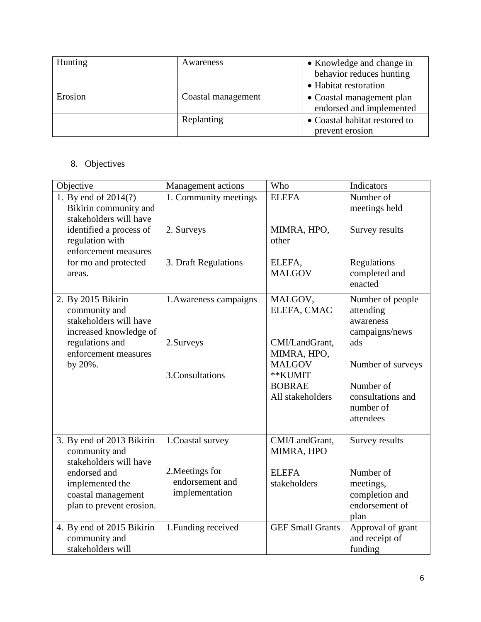| <b>Hunting</b> | Awareness          | • Knowledge and change in<br>behavior reduces hunting |
|----------------|--------------------|-------------------------------------------------------|
|                |                    | • Habitat restoration                                 |
| Erosion        | Coastal management | • Coastal management plan<br>endorsed and implemented |
|                | Replanting         | • Coastal habitat restored to                         |
|                |                    | prevent erosion                                       |

## 8. Objectives

| Objective                                                                               | <b>Management</b> actions                            | Who                               | Indicators                                                         |
|-----------------------------------------------------------------------------------------|------------------------------------------------------|-----------------------------------|--------------------------------------------------------------------|
| 1. By end of 2014(?)<br>Bikirin community and<br>stakeholders will have                 | 1. Community meetings                                | <b>ELEFA</b>                      | Number of<br>meetings held                                         |
| identified a process of<br>regulation with<br>enforcement measures                      | 2. Surveys                                           | MIMRA, HPO,<br>other              | Survey results                                                     |
| for mo and protected<br>areas.                                                          | 3. Draft Regulations                                 | ELEFA,<br><b>MALGOV</b>           | Regulations<br>completed and<br>enacted                            |
| 2. By 2015 Bikirin<br>community and<br>stakeholders will have<br>increased knowledge of | 1. Awareness campaigns                               | MALGOV,<br>ELEFA, CMAC            | Number of people<br>attending<br>awareness<br>campaigns/news       |
| regulations and<br>enforcement measures                                                 | 2.Surveys                                            | CMI/LandGrant,<br>MIMRA, HPO,     | ads                                                                |
| by 20%.                                                                                 | 3.Consultations                                      | <b>MALGOV</b><br>**KUMIT          | Number of surveys                                                  |
|                                                                                         |                                                      | <b>BOBRAE</b><br>All stakeholders | Number of<br>consultations and<br>number of<br>attendees           |
| 3. By end of 2013 Bikirin<br>community and<br>stakeholders will have                    | 1. Coastal survey                                    | CMI/LandGrant,<br>MIMRA, HPO      | Survey results                                                     |
| endorsed and<br>implemented the<br>coastal management<br>plan to prevent erosion.       | 2. Meetings for<br>endorsement and<br>implementation | <b>ELEFA</b><br>stakeholders      | Number of<br>meetings,<br>completion and<br>endorsement of<br>plan |
| 4. By end of 2015 Bikirin<br>community and<br>stakeholders will                         | 1. Funding received                                  | <b>GEF Small Grants</b>           | Approval of grant<br>and receipt of<br>funding                     |